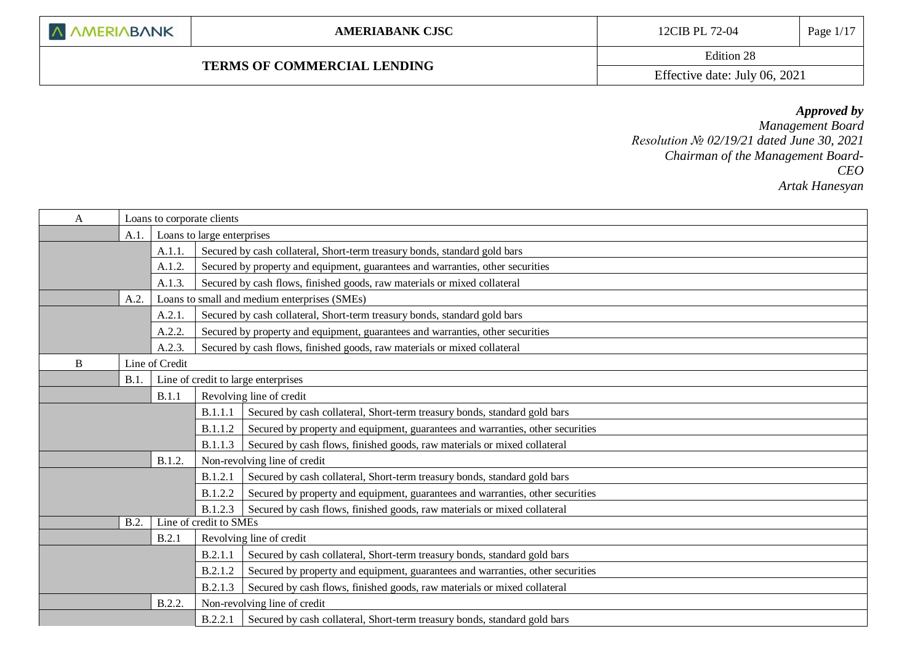## **TERMS OF COMMERCIAL LENDING**

Edition 28

Effective date: July 06, 2021

## *Approved by*

*Management Board Resolution № 02/19/21 dated June 30, 2021 Chairman of the Management Board-CEO Artak Hanesyan*

| Loans to corporate clients<br>A |                                    |                                                                                     |                              |                                                                                |  |  |
|---------------------------------|------------------------------------|-------------------------------------------------------------------------------------|------------------------------|--------------------------------------------------------------------------------|--|--|
|                                 | A.1.<br>Loans to large enterprises |                                                                                     |                              |                                                                                |  |  |
|                                 |                                    | A.1.1.                                                                              |                              | Secured by cash collateral, Short-term treasury bonds, standard gold bars      |  |  |
|                                 |                                    | A.1.2.                                                                              |                              | Secured by property and equipment, guarantees and warranties, other securities |  |  |
|                                 |                                    | A.1.3.                                                                              |                              | Secured by cash flows, finished goods, raw materials or mixed collateral       |  |  |
|                                 | A.2.                               |                                                                                     |                              | Loans to small and medium enterprises (SMEs)                                   |  |  |
|                                 |                                    | A.2.1                                                                               |                              | Secured by cash collateral, Short-term treasury bonds, standard gold bars      |  |  |
|                                 |                                    | A.2.2.                                                                              |                              | Secured by property and equipment, guarantees and warranties, other securities |  |  |
|                                 |                                    | A.2.3.                                                                              |                              | Secured by cash flows, finished goods, raw materials or mixed collateral       |  |  |
| B                               |                                    | Line of Credit                                                                      |                              |                                                                                |  |  |
|                                 | B.1                                |                                                                                     |                              | Line of credit to large enterprises                                            |  |  |
|                                 |                                    | B.1.1                                                                               |                              | Revolving line of credit                                                       |  |  |
|                                 |                                    |                                                                                     | B.1.1.1                      | Secured by cash collateral, Short-term treasury bonds, standard gold bars      |  |  |
|                                 |                                    |                                                                                     | B.1.1.2                      | Secured by property and equipment, guarantees and warranties, other securities |  |  |
|                                 |                                    |                                                                                     | <b>B.1.1.3</b>               | Secured by cash flows, finished goods, raw materials or mixed collateral       |  |  |
|                                 |                                    | B.1.2.                                                                              | Non-revolving line of credit |                                                                                |  |  |
|                                 |                                    |                                                                                     | B.1.2.1                      | Secured by cash collateral, Short-term treasury bonds, standard gold bars      |  |  |
|                                 |                                    | B.1.2.2                                                                             |                              | Secured by property and equipment, guarantees and warranties, other securities |  |  |
|                                 |                                    | Secured by cash flows, finished goods, raw materials or mixed collateral<br>B.1.2.3 |                              |                                                                                |  |  |
| B.2.                            |                                    |                                                                                     | Line of credit to SMEs       |                                                                                |  |  |
|                                 |                                    | B.2.1                                                                               |                              | Revolving line of credit                                                       |  |  |
|                                 |                                    |                                                                                     | B.2.1.1                      | Secured by cash collateral, Short-term treasury bonds, standard gold bars      |  |  |
|                                 |                                    |                                                                                     | B.2.1.2                      | Secured by property and equipment, guarantees and warranties, other securities |  |  |
|                                 |                                    |                                                                                     | B.2.1.3                      | Secured by cash flows, finished goods, raw materials or mixed collateral       |  |  |
|                                 |                                    | B.2.2.                                                                              |                              | Non-revolving line of credit                                                   |  |  |
|                                 |                                    |                                                                                     | <b>B.2.2.1</b>               | Secured by cash collateral, Short-term treasury bonds, standard gold bars      |  |  |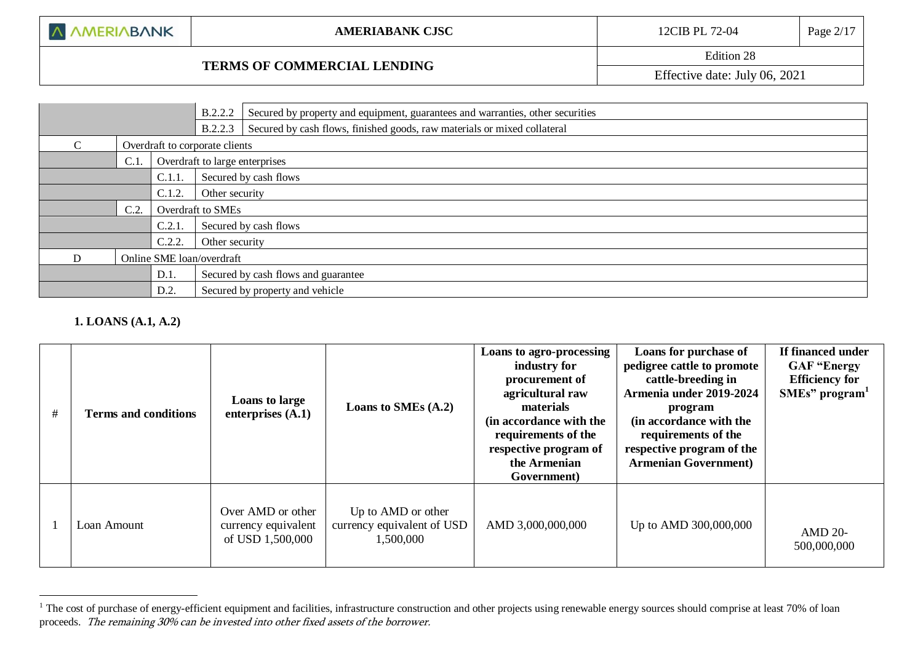## **TERMS OF COMMERCIAL LENDING**

Edition 28

Effective date: July 06, 2021

|                                |      | B.2.2.2 | Secured by property and equipment, guarantees and warranties, other securities |                                                                          |  |  |
|--------------------------------|------|---------|--------------------------------------------------------------------------------|--------------------------------------------------------------------------|--|--|
|                                |      |         | <b>B.2.2.3</b>                                                                 | Secured by cash flows, finished goods, raw materials or mixed collateral |  |  |
| $\mathcal{C}$                  |      |         | Overdraft to corporate clients                                                 |                                                                          |  |  |
|                                | C.1. |         |                                                                                | Overdraft to large enterprises                                           |  |  |
| C.1.1                          |      |         | Secured by cash flows                                                          |                                                                          |  |  |
| C.1.2.                         |      |         |                                                                                | Other security                                                           |  |  |
| C.2.                           |      |         | Overdraft to SMEs                                                              |                                                                          |  |  |
| $C.2.1$ .                      |      |         | Secured by cash flows                                                          |                                                                          |  |  |
| C.2.2.                         |      |         | Other security                                                                 |                                                                          |  |  |
| D<br>Online SME loan/overdraft |      |         |                                                                                |                                                                          |  |  |
|                                |      | D.1.    |                                                                                | Secured by cash flows and guarantee                                      |  |  |
|                                |      | D.2.    |                                                                                | Secured by property and vehicle                                          |  |  |

### **1. LOANS (A.1, A.2)**

1

| # | <b>Terms and conditions</b> | Loans to large<br>enterprises $(A.1)$                        | Loans to SMEs (A.2)                                           | Loans to agro-processing<br>industry for<br>procurement of<br>agricultural raw<br>materials<br>(in accordance with the<br>requirements of the<br>respective program of<br>the Armenian<br>Government) | Loans for purchase of<br>pedigree cattle to promote<br>cattle-breeding in<br>Armenia under 2019-2024<br>program<br>(in accordance with the<br>requirements of the<br>respective program of the<br><b>Armenian Government</b> ) | If financed under<br><b>GAF "Energy</b><br><b>Efficiency for</b><br>SMEs" program <sup>1</sup> |
|---|-----------------------------|--------------------------------------------------------------|---------------------------------------------------------------|-------------------------------------------------------------------------------------------------------------------------------------------------------------------------------------------------------|--------------------------------------------------------------------------------------------------------------------------------------------------------------------------------------------------------------------------------|------------------------------------------------------------------------------------------------|
|   | Loan Amount                 | Over AMD or other<br>currency equivalent<br>of USD 1,500,000 | Up to AMD or other<br>currency equivalent of USD<br>1,500,000 | AMD 3,000,000,000                                                                                                                                                                                     | Up to AMD 300,000,000                                                                                                                                                                                                          | <b>AMD 20-</b><br>500,000,000                                                                  |

<sup>&</sup>lt;sup>1</sup> The cost of purchase of energy-efficient equipment and facilities, infrastructure construction and other projects using renewable energy sources should comprise at least 70% of loan proceeds. The remaining 30% can be invested into other fixed assets of the borrower.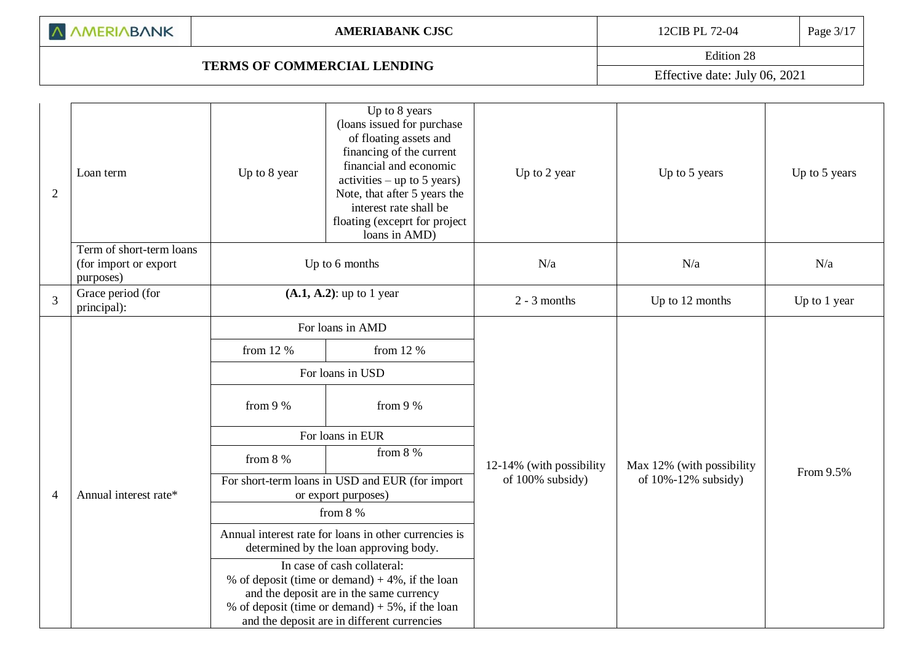| A AMERIABANK |  |  |  |  |  |
|--------------|--|--|--|--|--|
|--------------|--|--|--|--|--|

# **TERMS OF COMMERCIAL LENDING**

Edition 28 Effective date: July 06, 2021

| $\overline{2}$ | Loan term                                                      | Up to 8 year                        | Up to 8 years<br>(loans issued for purchase<br>of floating assets and<br>financing of the current<br>financial and economic<br>$\text{activities} - \text{up to } 5 \text{ years}$<br>Note, that after 5 years the<br>interest rate shall be<br>floating (exceprt for project<br>loans in AMD)                                                                                                                                                                                    | Up to 2 year                                 | Up to 5 years                                          | Up to 5 years |
|----------------|----------------------------------------------------------------|-------------------------------------|-----------------------------------------------------------------------------------------------------------------------------------------------------------------------------------------------------------------------------------------------------------------------------------------------------------------------------------------------------------------------------------------------------------------------------------------------------------------------------------|----------------------------------------------|--------------------------------------------------------|---------------|
|                | Term of short-term loans<br>(for import or export<br>purposes) | Up to 6 months                      |                                                                                                                                                                                                                                                                                                                                                                                                                                                                                   | N/a                                          | N/a                                                    | N/a           |
| 3              | Grace period (for<br>principal):                               | $(A.1, A.2)$ : up to 1 year         |                                                                                                                                                                                                                                                                                                                                                                                                                                                                                   | $2 - 3$ months                               | Up to 12 months                                        | Up to 1 year  |
| $\overline{4}$ | Annual interest rate*                                          | from 12 %<br>from $9%$<br>from $8%$ | For loans in AMD<br>from 12 %<br>For loans in USD<br>from $9%$<br>For loans in EUR<br>from $8\%$<br>For short-term loans in USD and EUR (for import<br>or export purposes)<br>from $8%$<br>Annual interest rate for loans in other currencies is<br>determined by the loan approving body.<br>In case of cash collateral:<br>% of deposit (time or demand) $+4\%$ , if the loan<br>and the deposit are in the same currency<br>% of deposit (time or demand) $+5\%$ , if the loan | 12-14% (with possibility<br>of 100% subsidy) | Max 12% (with possibility<br>of $10\% - 12\%$ subsidy) | From 9.5%     |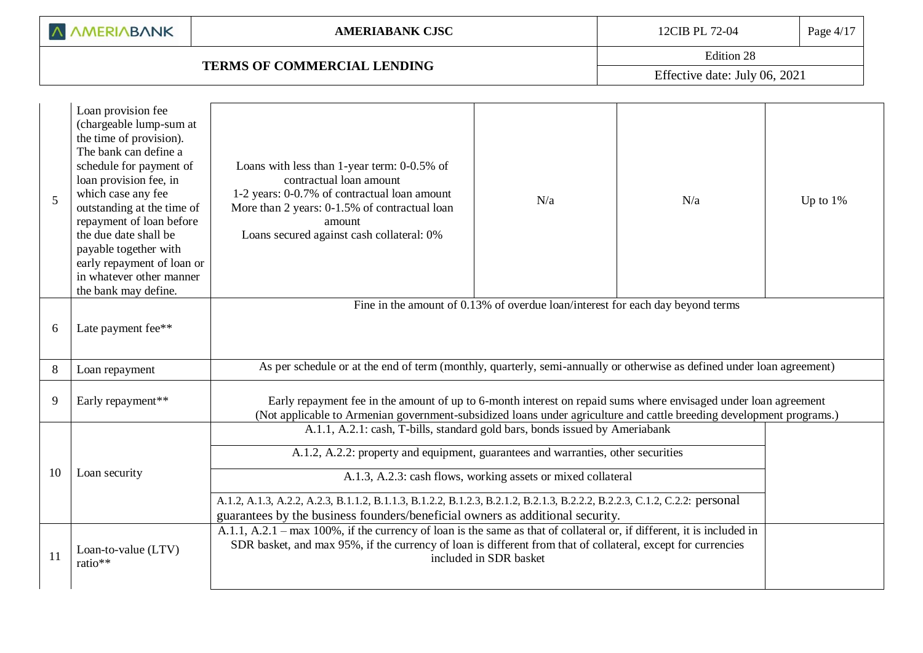A AMERIABANK

# **TERMS OF COMMERCIAL LENDING**

Edition 28 Effective date: July 06, 2021

| 5        | Loan provision fee<br>(chargeable lump-sum at<br>the time of provision).<br>The bank can define a<br>schedule for payment of<br>loan provision fee, in<br>which case any fee<br>outstanding at the time of<br>repayment of loan before<br>the due date shall be<br>payable together with<br>early repayment of loan or<br>in whatever other manner<br>the bank may define. | Loans with less than 1-year term: 0-0.5% of<br>contractual loan amount<br>1-2 years: 0-0.7% of contractual loan amount<br>More than 2 years: 0-1.5% of contractual loan<br>amount<br>Loans secured against cash collateral: 0%                                                                                                                                                                                                                                                                                                                                                                                                                                                                                      | N/a                                                                            | N/a | Up to $1\%$ |
|----------|----------------------------------------------------------------------------------------------------------------------------------------------------------------------------------------------------------------------------------------------------------------------------------------------------------------------------------------------------------------------------|---------------------------------------------------------------------------------------------------------------------------------------------------------------------------------------------------------------------------------------------------------------------------------------------------------------------------------------------------------------------------------------------------------------------------------------------------------------------------------------------------------------------------------------------------------------------------------------------------------------------------------------------------------------------------------------------------------------------|--------------------------------------------------------------------------------|-----|-------------|
| 6        | Late payment fee**                                                                                                                                                                                                                                                                                                                                                         |                                                                                                                                                                                                                                                                                                                                                                                                                                                                                                                                                                                                                                                                                                                     | Fine in the amount of 0.13% of overdue loan/interest for each day beyond terms |     |             |
| $\,8\,$  | Loan repayment                                                                                                                                                                                                                                                                                                                                                             | As per schedule or at the end of term (monthly, quarterly, semi-annually or otherwise as defined under loan agreement)                                                                                                                                                                                                                                                                                                                                                                                                                                                                                                                                                                                              |                                                                                |     |             |
| 9        | Early repayment**                                                                                                                                                                                                                                                                                                                                                          | Early repayment fee in the amount of up to 6-month interest on repaid sums where envisaged under loan agreement<br>(Not applicable to Armenian government-subsidized loans under agriculture and cattle breeding development programs.)                                                                                                                                                                                                                                                                                                                                                                                                                                                                             |                                                                                |     |             |
| 10<br>11 | Loan security<br>Loan-to-value (LTV)<br>ratio**                                                                                                                                                                                                                                                                                                                            | A.1.1, A.2.1: cash, T-bills, standard gold bars, bonds issued by Ameriabank<br>A.1.2, A.2.2: property and equipment, guarantees and warranties, other securities<br>A.1.3, A.2.3: cash flows, working assets or mixed collateral<br>A.1.2, A.1.3, A.2.2, A.2.3, B.1.1.2, B.1.1.3, B.1.2.2, B.1.2.3, B.2.1.2, B.2.1.3, B.2.2.2, B.2.2.3, C.1.2, C.2.2: personal<br>guarantees by the business founders/beneficial owners as additional security.<br>A.1.1, A.2.1 – max 100%, if the currency of loan is the same as that of collateral or, if different, it is included in<br>SDR basket, and max 95%, if the currency of loan is different from that of collateral, except for currencies<br>included in SDR basket |                                                                                |     |             |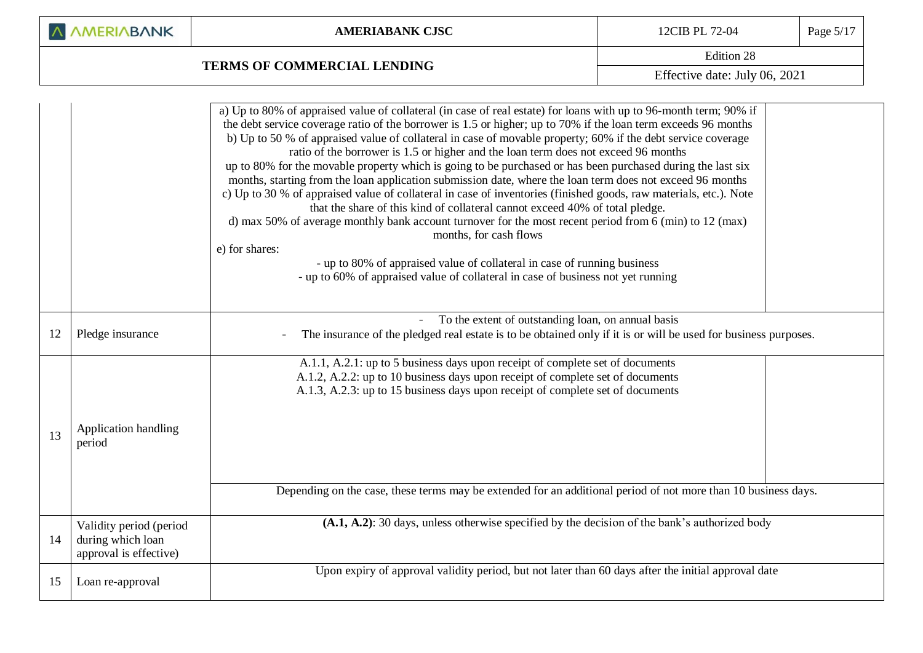| A AMERIABANK |
|--------------|
|--------------|

# **TERMS OF COMMERCIAL LENDING**

Edition 28

Effective date: July 06, 2021

|    |                                                                        | a) Up to 80% of appraised value of collateral (in case of real estate) for loans with up to 96-month term; 90% if<br>the debt service coverage ratio of the borrower is 1.5 or higher; up to 70% if the loan term exceeds 96 months<br>b) Up to 50 % of appraised value of collateral in case of movable property; 60% if the debt service coverage<br>ratio of the borrower is 1.5 or higher and the loan term does not exceed 96 months<br>up to 80% for the movable property which is going to be purchased or has been purchased during the last six<br>months, starting from the loan application submission date, where the loan term does not exceed 96 months<br>c) Up to 30 % of appraised value of collateral in case of inventories (finished goods, raw materials, etc.). Note<br>that the share of this kind of collateral cannot exceed 40% of total pledge.<br>d) max 50% of average monthly bank account turnover for the most recent period from 6 (min) to 12 (max)<br>months, for cash flows<br>e) for shares:<br>- up to 80% of appraised value of collateral in case of running business<br>- up to 60% of appraised value of collateral in case of business not yet running |
|----|------------------------------------------------------------------------|---------------------------------------------------------------------------------------------------------------------------------------------------------------------------------------------------------------------------------------------------------------------------------------------------------------------------------------------------------------------------------------------------------------------------------------------------------------------------------------------------------------------------------------------------------------------------------------------------------------------------------------------------------------------------------------------------------------------------------------------------------------------------------------------------------------------------------------------------------------------------------------------------------------------------------------------------------------------------------------------------------------------------------------------------------------------------------------------------------------------------------------------------------------------------------------------------|
| 12 | Pledge insurance                                                       | To the extent of outstanding loan, on annual basis<br>The insurance of the pledged real estate is to be obtained only if it is or will be used for business purposes.                                                                                                                                                                                                                                                                                                                                                                                                                                                                                                                                                                                                                                                                                                                                                                                                                                                                                                                                                                                                                             |
| 13 | Application handling<br>period                                         | A.1.1, A.2.1: up to 5 business days upon receipt of complete set of documents<br>A.1.2, A.2.2: up to 10 business days upon receipt of complete set of documents<br>A.1.3, A.2.3: up to 15 business days upon receipt of complete set of documents                                                                                                                                                                                                                                                                                                                                                                                                                                                                                                                                                                                                                                                                                                                                                                                                                                                                                                                                                 |
|    |                                                                        | Depending on the case, these terms may be extended for an additional period of not more than 10 business days.                                                                                                                                                                                                                                                                                                                                                                                                                                                                                                                                                                                                                                                                                                                                                                                                                                                                                                                                                                                                                                                                                    |
| 14 | Validity period (period<br>during which loan<br>approval is effective) | $(A.1, A.2)$ : 30 days, unless otherwise specified by the decision of the bank's authorized body                                                                                                                                                                                                                                                                                                                                                                                                                                                                                                                                                                                                                                                                                                                                                                                                                                                                                                                                                                                                                                                                                                  |
| 15 | Loan re-approval                                                       | Upon expiry of approval validity period, but not later than 60 days after the initial approval date                                                                                                                                                                                                                                                                                                                                                                                                                                                                                                                                                                                                                                                                                                                                                                                                                                                                                                                                                                                                                                                                                               |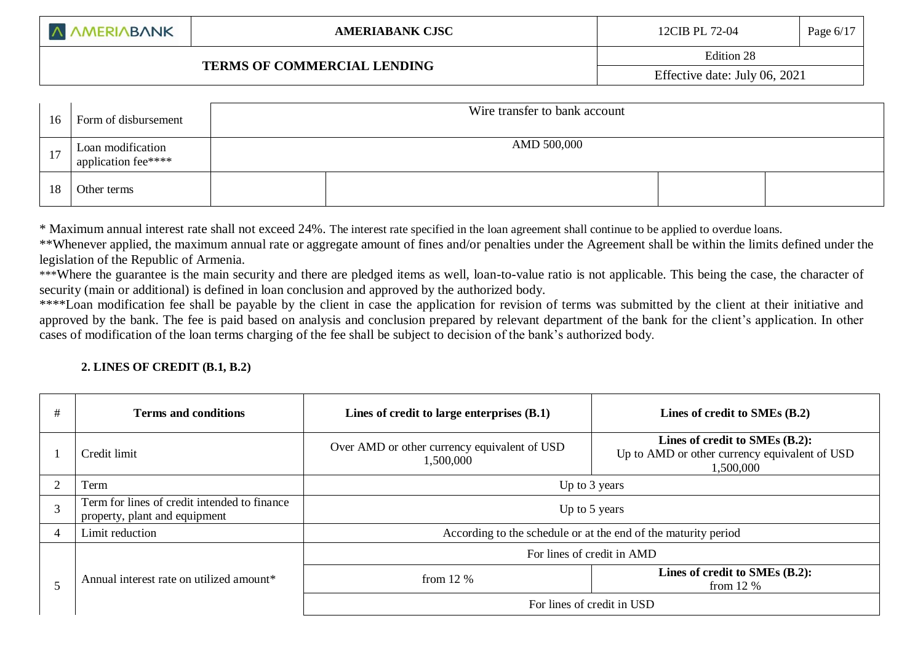### **TERMS OF COMMERCIAL LENDING**

| 16 | Form of disbursement                     | Wire transfer to bank account |  |  |  |
|----|------------------------------------------|-------------------------------|--|--|--|
| 17 | Loan modification<br>application fee**** | AMD 500,000                   |  |  |  |
| 18 | Other terms                              |                               |  |  |  |

\* Maximum annual interest rate shall not exceed 24%. The interest rate specified in the loan agreement shall continue to be applied to overdue loans.

\*\*Whenever applied, the maximum annual rate or aggregate amount of fines and/or penalties under the Agreement shall be within the limits defined under the legislation of the Republic of Armenia.

\*\*\*Where the guarantee is the main security and there are pledged items as well, loan-to-value ratio is not applicable. This being the case, the character of security (main or additional) is defined in loan conclusion and approved by the authorized body.

\*\*\*\*Loan modification fee shall be payable by the client in case the application for revision of terms was submitted by the client at their initiative and approved by the bank. The fee is paid based on analysis and conclusion prepared by relevant department of the bank for the client's application. In other cases of modification of the loan terms charging of the fee shall be subject to decision of the bank's authorized body.

### **2. LINES OF CREDIT (B.1, B.2)**

| # | <b>Terms and conditions</b>                                                   | Lines of credit to large enterprises (B.1)                     | Lines of credit to SMEs (B.2)                                                                |  |
|---|-------------------------------------------------------------------------------|----------------------------------------------------------------|----------------------------------------------------------------------------------------------|--|
|   | Credit limit                                                                  | Over AMD or other currency equivalent of USD<br>1,500,000      | Lines of credit to SMEs (B.2):<br>Up to AMD or other currency equivalent of USD<br>1,500,000 |  |
|   | Term                                                                          | Up to 3 years                                                  |                                                                                              |  |
| 3 | Term for lines of credit intended to finance<br>property, plant and equipment | Up to 5 years                                                  |                                                                                              |  |
| 4 | Limit reduction                                                               | According to the schedule or at the end of the maturity period |                                                                                              |  |
|   |                                                                               | For lines of credit in AMD                                     |                                                                                              |  |
|   | Annual interest rate on utilized amount <sup>*</sup>                          | from $12\%$                                                    | Lines of credit to SMEs (B.2):<br>from $12\%$                                                |  |
|   |                                                                               | For lines of credit in USD                                     |                                                                                              |  |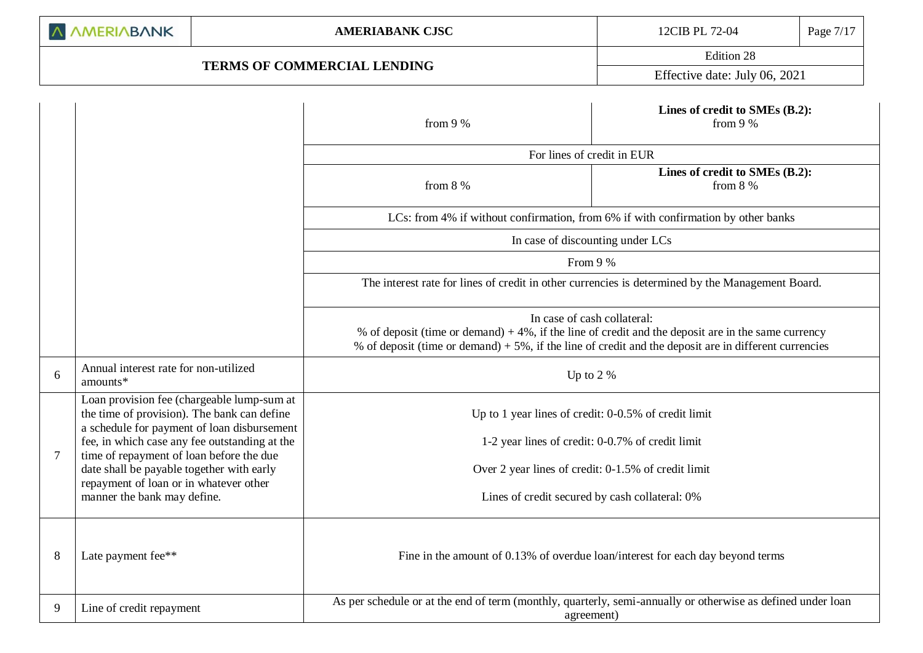## **TERMS OF COMMERCIAL LENDING**

Edition 28

Effective date: July 06, 2021

|   |                                                                                                                                          | from 9 %                                                                                                                                | Lines of credit to SMEs (B.2):<br>from $9%$                                                                 |  |  |  |
|---|------------------------------------------------------------------------------------------------------------------------------------------|-----------------------------------------------------------------------------------------------------------------------------------------|-------------------------------------------------------------------------------------------------------------|--|--|--|
|   |                                                                                                                                          | For lines of credit in EUR                                                                                                              |                                                                                                             |  |  |  |
|   |                                                                                                                                          | from 8 %                                                                                                                                | Lines of credit to SMEs (B.2):<br>from $8\%$                                                                |  |  |  |
|   |                                                                                                                                          | LCs: from 4% if without confirmation, from 6% if with confirmation by other banks                                                       |                                                                                                             |  |  |  |
|   |                                                                                                                                          | In case of discounting under LCs                                                                                                        |                                                                                                             |  |  |  |
|   |                                                                                                                                          | From 9 %                                                                                                                                |                                                                                                             |  |  |  |
|   |                                                                                                                                          | The interest rate for lines of credit in other currencies is determined by the Management Board.                                        |                                                                                                             |  |  |  |
|   |                                                                                                                                          | In case of cash collateral:<br>% of deposit (time or demand) $+5\%$ , if the line of credit and the deposit are in different currencies | % of deposit (time or demand) $+4\%$ , if the line of credit and the deposit are in the same currency       |  |  |  |
| 6 | Annual interest rate for non-utilized<br>amounts*                                                                                        | Up to $2\%$                                                                                                                             |                                                                                                             |  |  |  |
|   | Loan provision fee (chargeable lump-sum at<br>the time of provision). The bank can define<br>a schedule for payment of loan disbursement | Up to 1 year lines of credit: 0-0.5% of credit limit                                                                                    |                                                                                                             |  |  |  |
|   | fee, in which case any fee outstanding at the                                                                                            | 1-2 year lines of credit: 0-0.7% of credit limit                                                                                        |                                                                                                             |  |  |  |
| 7 | time of repayment of loan before the due<br>date shall be payable together with early                                                    | Over 2 year lines of credit: 0-1.5% of credit limit                                                                                     |                                                                                                             |  |  |  |
|   | repayment of loan or in whatever other<br>manner the bank may define.                                                                    | Lines of credit secured by cash collateral: 0%                                                                                          |                                                                                                             |  |  |  |
| 8 | Late payment fee**                                                                                                                       |                                                                                                                                         | Fine in the amount of 0.13% of overdue loan/interest for each day beyond terms                              |  |  |  |
| 9 | Line of credit repayment                                                                                                                 | agreement)                                                                                                                              | As per schedule or at the end of term (monthly, quarterly, semi-annually or otherwise as defined under loan |  |  |  |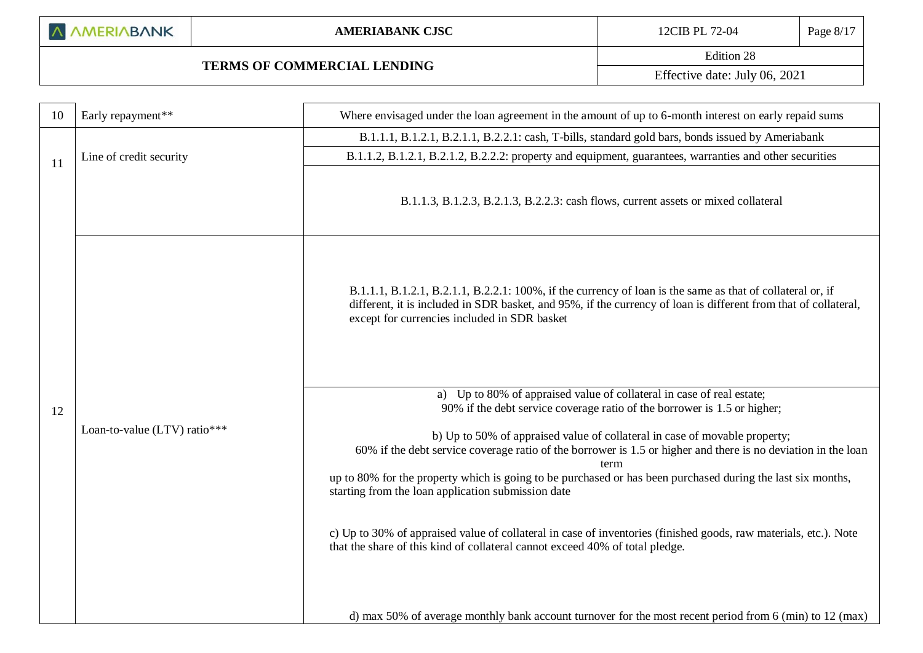|  |  |  | A AMERIABANK |
|--|--|--|--------------|
|--|--|--|--------------|

### **AMERIABANK CJSC** 12CIB PL 72-04 Page 8/17

# **TERMS OF COMMERCIAL LENDING**

Edition 28

Effective date: July 06, 2021

| 10 | Early repayment**            | Where envisaged under the loan agreement in the amount of up to 6-month interest on early repaid sums                                                                                                                                                                                                                                                                    |
|----|------------------------------|--------------------------------------------------------------------------------------------------------------------------------------------------------------------------------------------------------------------------------------------------------------------------------------------------------------------------------------------------------------------------|
|    |                              | B.1.1.1, B.1.2.1, B.2.1.1, B.2.2.1: cash, T-bills, standard gold bars, bonds issued by Ameriabank                                                                                                                                                                                                                                                                        |
| 11 | Line of credit security      | B.1.1.2, B.1.2.1, B.2.1.2, B.2.2.2: property and equipment, guarantees, warranties and other securities                                                                                                                                                                                                                                                                  |
|    |                              | B.1.1.3, B.1.2.3, B.2.1.3, B.2.2.3: cash flows, current assets or mixed collateral                                                                                                                                                                                                                                                                                       |
| 12 |                              | B.1.1.1, B.1.2.1, B.2.1.1, B.2.2.1: 100%, if the currency of loan is the same as that of collateral or, if<br>different, it is included in SDR basket, and 95%, if the currency of loan is different from that of collateral,<br>except for currencies included in SDR basket                                                                                            |
|    |                              | a) Up to 80% of appraised value of collateral in case of real estate;<br>90% if the debt service coverage ratio of the borrower is 1.5 or higher;                                                                                                                                                                                                                        |
|    | Loan-to-value (LTV) ratio*** | b) Up to 50% of appraised value of collateral in case of movable property;<br>60% if the debt service coverage ratio of the borrower is 1.5 or higher and there is no deviation in the loan<br>term<br>up to 80% for the property which is going to be purchased or has been purchased during the last six months,<br>starting from the loan application submission date |
|    |                              | c) Up to 30% of appraised value of collateral in case of inventories (finished goods, raw materials, etc.). Note<br>that the share of this kind of collateral cannot exceed 40% of total pledge.                                                                                                                                                                         |
|    |                              | d) max 50% of average monthly bank account turnover for the most recent period from $6 \text{ (min)}$ to 12 (max)                                                                                                                                                                                                                                                        |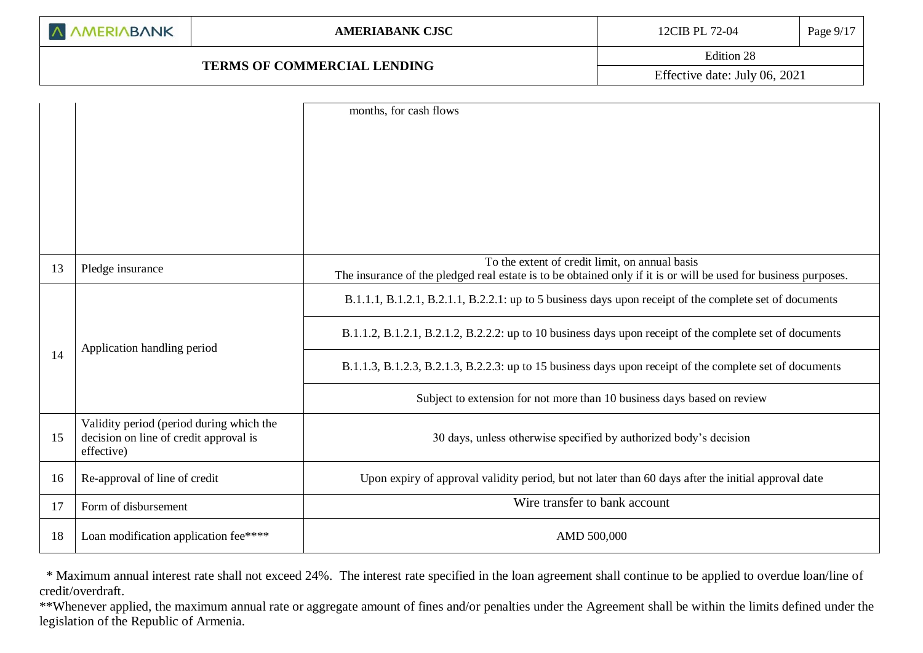## **TERMS OF COMMERCIAL LENDING**

Edition 28

Effective date: July 06, 2021

|    |                                                                                                  | months, for cash flows                                                                                          |
|----|--------------------------------------------------------------------------------------------------|-----------------------------------------------------------------------------------------------------------------|
|    |                                                                                                  |                                                                                                                 |
|    |                                                                                                  |                                                                                                                 |
|    |                                                                                                  |                                                                                                                 |
|    |                                                                                                  |                                                                                                                 |
|    |                                                                                                  |                                                                                                                 |
|    |                                                                                                  | To the extent of credit limit, on annual basis                                                                  |
| 13 | Pledge insurance                                                                                 | The insurance of the pledged real estate is to be obtained only if it is or will be used for business purposes. |
|    |                                                                                                  | B.1.1.1, B.1.2.1, B.2.1.1, B.2.2.1: up to 5 business days upon receipt of the complete set of documents         |
|    | Application handling period                                                                      | B.1.1.2, B.1.2.1, B.2.1.2, B.2.2.2: up to 10 business days upon receipt of the complete set of documents        |
| 14 |                                                                                                  | B.1.1.3, B.1.2.3, B.2.1.3, B.2.2.3: up to 15 business days upon receipt of the complete set of documents        |
|    |                                                                                                  | Subject to extension for not more than 10 business days based on review                                         |
| 15 | Validity period (period during which the<br>decision on line of credit approval is<br>effective) | 30 days, unless otherwise specified by authorized body's decision                                               |
| 16 | Re-approval of line of credit                                                                    | Upon expiry of approval validity period, but not later than 60 days after the initial approval date             |
| 17 | Form of disbursement                                                                             | Wire transfer to bank account                                                                                   |
| 18 | Loan modification application fee****                                                            | AMD 500,000                                                                                                     |

 \* Maximum annual interest rate shall not exceed 24%. The interest rate specified in the loan agreement shall continue to be applied to overdue loan/line of credit/overdraft.

\*\*Whenever applied, the maximum annual rate or aggregate amount of fines and/or penalties under the Agreement shall be within the limits defined under the legislation of the Republic of Armenia.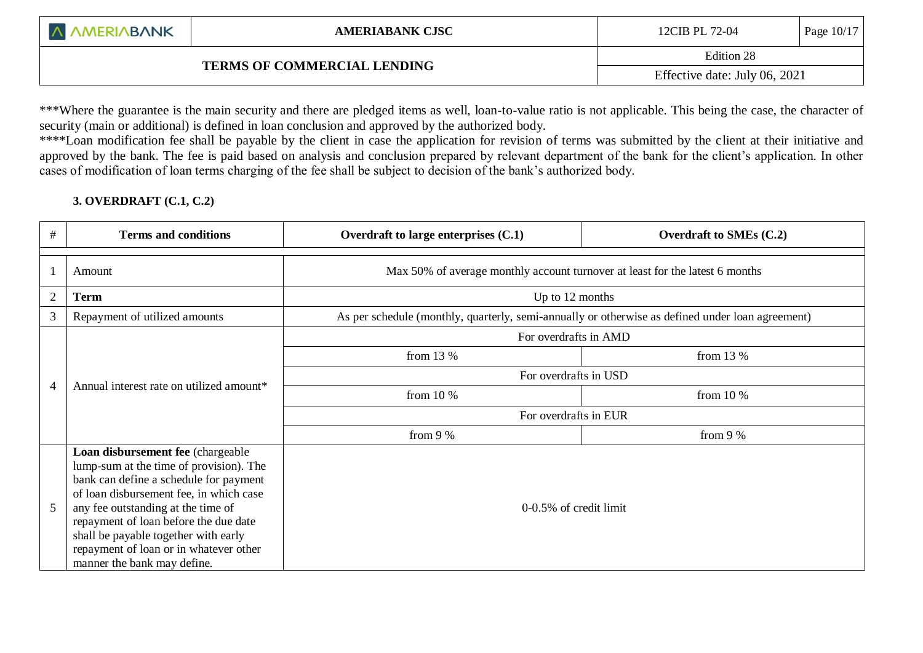|  |  | <b>A AMERIABANK</b> |
|--|--|---------------------|
|--|--|---------------------|

# **TERMS OF COMMERCIAL LENDING**

Edition 28

Effective date: July 06, 2021

\*\*\*Where the guarantee is the main security and there are pledged items as well, loan-to-value ratio is not applicable. This being the case, the character of security (main or additional) is defined in loan conclusion and approved by the authorized body.

\*\*\*\*Loan modification fee shall be payable by the client in case the application for revision of terms was submitted by the client at their initiative and approved by the bank. The fee is paid based on analysis and conclusion prepared by relevant department of the bank for the client's application. In other cases of modification of loan terms charging of the fee shall be subject to decision of the bank's authorized body.

## **3. OVERDRAFT (C.1, C.2)**

l

| $\#$           | <b>Terms and conditions</b>                                                                                                                                                                                                                                                                                                                                       | Overdraft to large enterprises $(C.1)$                                                           | <b>Overdraft to SMEs (C.2)</b> |  |  |  |
|----------------|-------------------------------------------------------------------------------------------------------------------------------------------------------------------------------------------------------------------------------------------------------------------------------------------------------------------------------------------------------------------|--------------------------------------------------------------------------------------------------|--------------------------------|--|--|--|
|                | Amount                                                                                                                                                                                                                                                                                                                                                            | Max 50% of average monthly account turnover at least for the latest 6 months                     |                                |  |  |  |
| $\overline{2}$ | <b>Term</b>                                                                                                                                                                                                                                                                                                                                                       | Up to 12 months                                                                                  |                                |  |  |  |
| 3              | Repayment of utilized amounts                                                                                                                                                                                                                                                                                                                                     | As per schedule (monthly, quarterly, semi-annually or otherwise as defined under loan agreement) |                                |  |  |  |
|                |                                                                                                                                                                                                                                                                                                                                                                   | For overdrafts in AMD                                                                            |                                |  |  |  |
|                |                                                                                                                                                                                                                                                                                                                                                                   | from $13\%$                                                                                      | from 13 $%$                    |  |  |  |
|                |                                                                                                                                                                                                                                                                                                                                                                   | For overdrafts in USD                                                                            |                                |  |  |  |
| $\overline{4}$ | Annual interest rate on utilized amount*                                                                                                                                                                                                                                                                                                                          | from $10\%$                                                                                      | from 10 $%$                    |  |  |  |
|                |                                                                                                                                                                                                                                                                                                                                                                   | For overdrafts in EUR                                                                            |                                |  |  |  |
|                |                                                                                                                                                                                                                                                                                                                                                                   | from $9%$                                                                                        | from 9 %                       |  |  |  |
| 5              | Loan disbursement fee (chargeable<br>lump-sum at the time of provision). The<br>bank can define a schedule for payment<br>of loan disbursement fee, in which case<br>any fee outstanding at the time of<br>repayment of loan before the due date<br>shall be payable together with early<br>repayment of loan or in whatever other<br>manner the bank may define. | 0-0.5% of credit limit                                                                           |                                |  |  |  |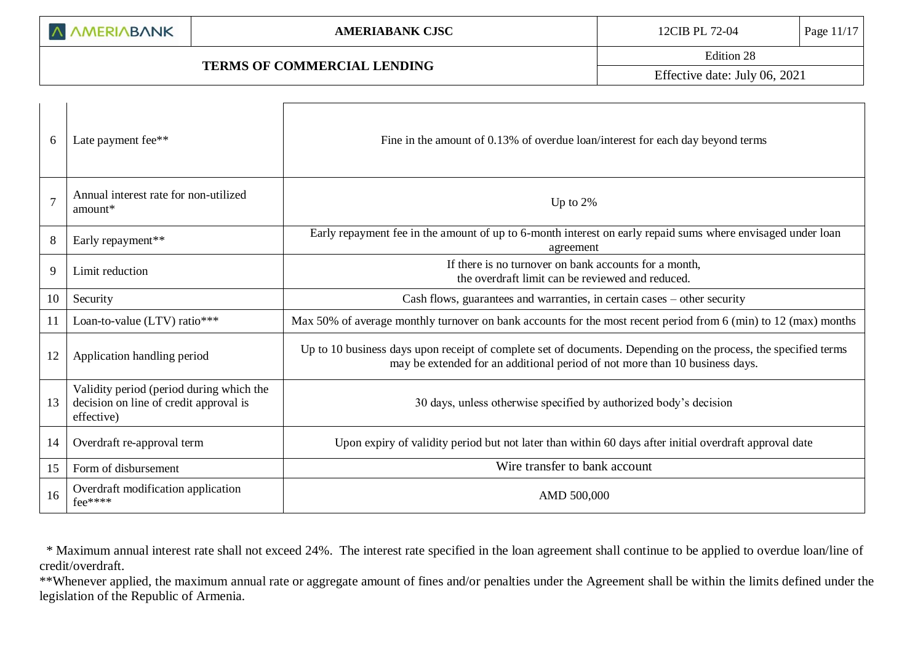# **TERMS OF COMMERCIAL LENDING**

Edition 28

Effective date: July 06, 2021

| 6  | Late payment fee**                                                                               | Fine in the amount of 0.13% of overdue loan/interest for each day beyond terms                                                                                                                 |
|----|--------------------------------------------------------------------------------------------------|------------------------------------------------------------------------------------------------------------------------------------------------------------------------------------------------|
|    | Annual interest rate for non-utilized<br>amount*                                                 | Up to $2%$                                                                                                                                                                                     |
| 8  | Early repayment**                                                                                | Early repayment fee in the amount of up to 6-month interest on early repaid sums where envisaged under loan<br>agreement                                                                       |
| 9  | Limit reduction                                                                                  | If there is no turnover on bank accounts for a month,<br>the overdraft limit can be reviewed and reduced.                                                                                      |
| 10 | Security                                                                                         | Cash flows, guarantees and warranties, in certain cases – other security                                                                                                                       |
| 11 | Loan-to-value (LTV) ratio***                                                                     | Max 50% of average monthly turnover on bank accounts for the most recent period from 6 (min) to 12 (max) months                                                                                |
| 12 | Application handling period                                                                      | Up to 10 business days upon receipt of complete set of documents. Depending on the process, the specified terms<br>may be extended for an additional period of not more than 10 business days. |
| 13 | Validity period (period during which the<br>decision on line of credit approval is<br>effective) | 30 days, unless otherwise specified by authorized body's decision                                                                                                                              |
| 14 | Overdraft re-approval term                                                                       | Upon expiry of validity period but not later than within 60 days after initial overdraft approval date                                                                                         |
| 15 | Form of disbursement                                                                             | Wire transfer to bank account                                                                                                                                                                  |
| 16 | Overdraft modification application<br>fee****                                                    | AMD 500,000                                                                                                                                                                                    |

 \* Maximum annual interest rate shall not exceed 24%. The interest rate specified in the loan agreement shall continue to be applied to overdue loan/line of credit/overdraft.

\*\*Whenever applied, the maximum annual rate or aggregate amount of fines and/or penalties under the Agreement shall be within the limits defined under the legislation of the Republic of Armenia.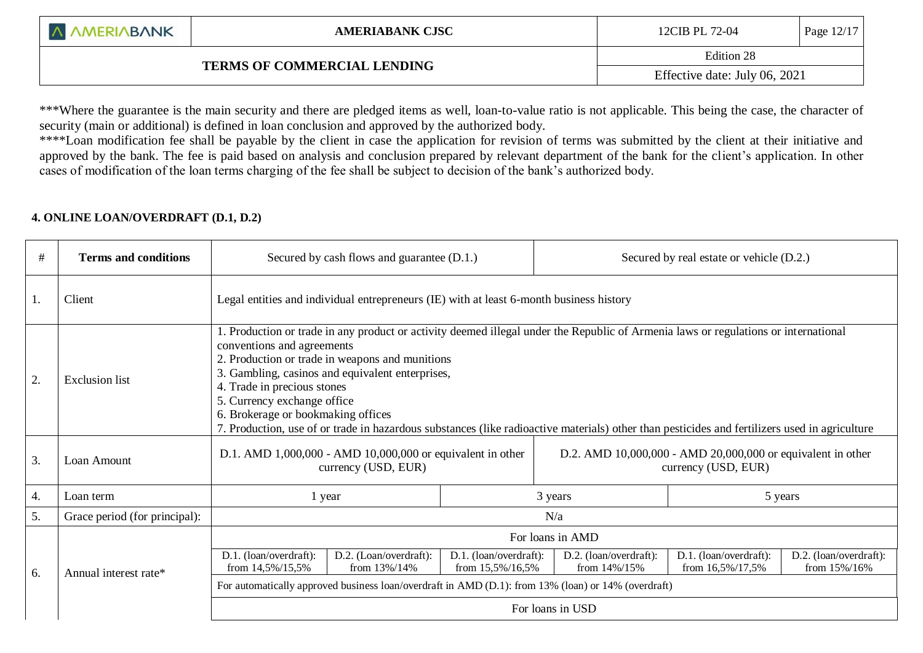|  | A AMERIABANK |  |
|--|--------------|--|
|--|--------------|--|

# **TERMS OF COMMERCIAL LENDING**

Edition 28

Effective date: July 06, 2021

\*\*\*Where the guarantee is the main security and there are pledged items as well, loan-to-value ratio is not applicable. This being the case, the character of security (main or additional) is defined in loan conclusion and approved by the authorized body.

\*\*\*\*Loan modification fee shall be payable by the client in case the application for revision of terms was submitted by the client at their initiative and approved by the bank. The fee is paid based on analysis and conclusion prepared by relevant department of the bank for the client's application. In other cases of modification of the loan terms charging of the fee shall be subject to decision of the bank's authorized body.

### **4. ONLINE LOAN/OVERDRAFT (D.1, D.2)**

l

| #  | <b>Terms and conditions</b>   | Secured by cash flows and guarantee (D.1.)                                                                                                                                                                                                                                                                                                                                                                                                                                                                                    |                                            |  |                                            | Secured by real estate or vehicle (D.2.)   |                                        |
|----|-------------------------------|-------------------------------------------------------------------------------------------------------------------------------------------------------------------------------------------------------------------------------------------------------------------------------------------------------------------------------------------------------------------------------------------------------------------------------------------------------------------------------------------------------------------------------|--------------------------------------------|--|--------------------------------------------|--------------------------------------------|----------------------------------------|
| 1. | Client                        | Legal entities and individual entrepreneurs (IE) with at least 6-month business history                                                                                                                                                                                                                                                                                                                                                                                                                                       |                                            |  |                                            |                                            |                                        |
| 2. | <b>Exclusion</b> list         | 1. Production or trade in any product or activity deemed illegal under the Republic of Armenia laws or regulations or international<br>conventions and agreements<br>2. Production or trade in weapons and munitions<br>3. Gambling, casinos and equivalent enterprises,<br>4. Trade in precious stones<br>5. Currency exchange office<br>6. Brokerage or bookmaking offices<br>7. Production, use of or trade in hazardous substances (like radioactive materials) other than pesticides and fertilizers used in agriculture |                                            |  |                                            |                                            |                                        |
| 3. | Loan Amount                   | D.1. AMD 1,000,000 - AMD 10,000,000 or equivalent in other<br>D.2. AMD 10,000,000 - AMD 20,000,000 or equivalent in other<br>currency (USD, EUR)<br>currency (USD, EUR)                                                                                                                                                                                                                                                                                                                                                       |                                            |  |                                            |                                            |                                        |
| 4. | Loan term                     | 1 year                                                                                                                                                                                                                                                                                                                                                                                                                                                                                                                        | 3 years<br>5 years                         |  |                                            |                                            |                                        |
| 5. | Grace period (for principal): |                                                                                                                                                                                                                                                                                                                                                                                                                                                                                                                               |                                            |  | N/a                                        |                                            |                                        |
|    |                               | For loans in AMD                                                                                                                                                                                                                                                                                                                                                                                                                                                                                                              |                                            |  |                                            |                                            |                                        |
| 6. | Annual interest rate*         | D.1. (loan/overdraft):<br>D.2. (Loan/overdraft):<br>from 14,5%/15,5%<br>from $13\%/14\%$                                                                                                                                                                                                                                                                                                                                                                                                                                      | D.1. (loan/overdraft):<br>from 15,5%/16,5% |  | D.2. (loan/overdraft):<br>from $14\%/15\%$ | D.1. (loan/overdraft):<br>from 16,5%/17,5% | D.2. (loan/overdraft):<br>from 15%/16% |
|    |                               | For automatically approved business loan/overdraft in AMD (D.1): from 13% (loan) or 14% (overdraft)                                                                                                                                                                                                                                                                                                                                                                                                                           |                                            |  |                                            |                                            |                                        |
|    |                               |                                                                                                                                                                                                                                                                                                                                                                                                                                                                                                                               |                                            |  | For loans in USD                           |                                            |                                        |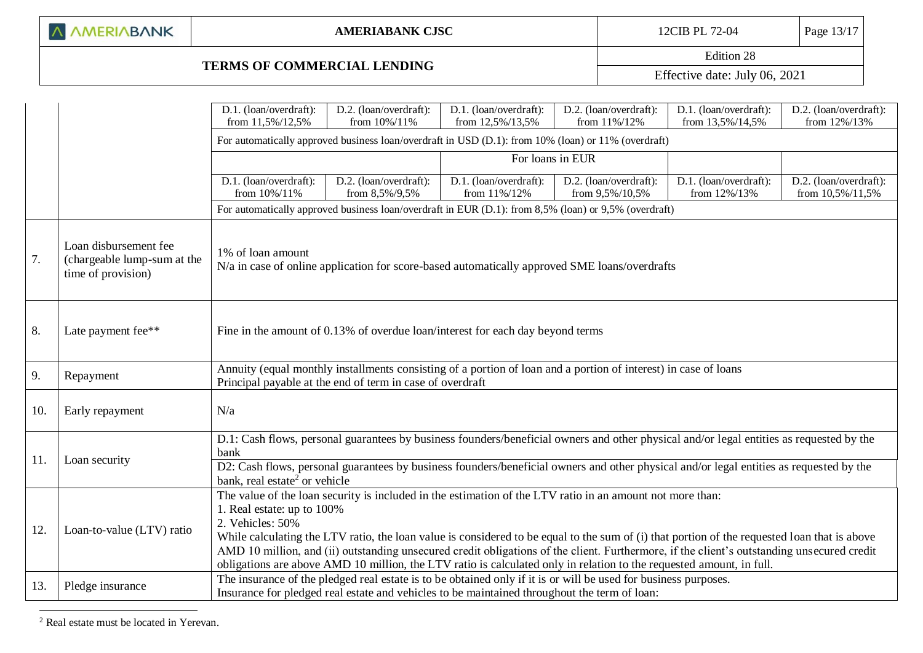| A AMERIABANK |  |  |  |  |  |
|--------------|--|--|--|--|--|
|--------------|--|--|--|--|--|

## **TERMS OF COMMERCIAL LENDING**

Edition 28 Effective date: July 06, 2021

|     |                                                                            | D.1. (loan/overdraft):                                                                                                                                                                                                                                                                                                                                                                                                                                                                                                                                                            | D.2. (loan/overdraft):                                                                                                                                                                                                                                                              | D.1. (loan/overdraft):                 | D.2. (loan/overdraft):                    | D.1. (loan/overdraft):                 | D.2. (loan/overdraft):                     |  |
|-----|----------------------------------------------------------------------------|-----------------------------------------------------------------------------------------------------------------------------------------------------------------------------------------------------------------------------------------------------------------------------------------------------------------------------------------------------------------------------------------------------------------------------------------------------------------------------------------------------------------------------------------------------------------------------------|-------------------------------------------------------------------------------------------------------------------------------------------------------------------------------------------------------------------------------------------------------------------------------------|----------------------------------------|-------------------------------------------|----------------------------------------|--------------------------------------------|--|
|     |                                                                            | from 11,5%/12,5%                                                                                                                                                                                                                                                                                                                                                                                                                                                                                                                                                                  | from 10%/11%                                                                                                                                                                                                                                                                        | from 12,5%/13,5%                       | from 11%/12%                              | from 13,5%/14,5%                       | from 12%/13%                               |  |
|     |                                                                            |                                                                                                                                                                                                                                                                                                                                                                                                                                                                                                                                                                                   | For automatically approved business loan/overdraft in USD (D.1): from 10% (loan) or 11% (overdraft)<br>For loans in EUR                                                                                                                                                             |                                        |                                           |                                        |                                            |  |
|     |                                                                            |                                                                                                                                                                                                                                                                                                                                                                                                                                                                                                                                                                                   |                                                                                                                                                                                                                                                                                     |                                        |                                           |                                        |                                            |  |
|     |                                                                            | D.1. (loan/overdraft):<br>from 10%/11%                                                                                                                                                                                                                                                                                                                                                                                                                                                                                                                                            | D.2. (loan/overdraft):<br>from 8,5%/9,5%                                                                                                                                                                                                                                            | D.1. (loan/overdraft):<br>from 11%/12% | D.2. (loan/overdraft):<br>from 9,5%/10,5% | D.1. (loan/overdraft):<br>from 12%/13% | D.2. (loan/overdraft):<br>from 10,5%/11,5% |  |
|     |                                                                            |                                                                                                                                                                                                                                                                                                                                                                                                                                                                                                                                                                                   | For automatically approved business loan/overdraft in EUR (D.1): from 8,5% (loan) or 9,5% (overdraft)                                                                                                                                                                               |                                        |                                           |                                        |                                            |  |
| 7.  | Loan disbursement fee<br>(chargeable lump-sum at the<br>time of provision) | 1% of loan amount                                                                                                                                                                                                                                                                                                                                                                                                                                                                                                                                                                 | N/a in case of online application for score-based automatically approved SME loans/overdrafts                                                                                                                                                                                       |                                        |                                           |                                        |                                            |  |
| 8.  | Late payment fee**                                                         |                                                                                                                                                                                                                                                                                                                                                                                                                                                                                                                                                                                   | Fine in the amount of 0.13% of overdue loan/interest for each day beyond terms                                                                                                                                                                                                      |                                        |                                           |                                        |                                            |  |
| 9.  | Repayment                                                                  |                                                                                                                                                                                                                                                                                                                                                                                                                                                                                                                                                                                   | Annuity (equal monthly installments consisting of a portion of loan and a portion of interest) in case of loans<br>Principal payable at the end of term in case of overdraft                                                                                                        |                                        |                                           |                                        |                                            |  |
| 10. | Early repayment                                                            | N/a                                                                                                                                                                                                                                                                                                                                                                                                                                                                                                                                                                               |                                                                                                                                                                                                                                                                                     |                                        |                                           |                                        |                                            |  |
| 11. | Loan security                                                              | bank<br>bank, real estate <sup>2</sup> or vehicle                                                                                                                                                                                                                                                                                                                                                                                                                                                                                                                                 | D.1: Cash flows, personal guarantees by business founders/beneficial owners and other physical and/or legal entities as requested by the<br>D2: Cash flows, personal guarantees by business founders/beneficial owners and other physical and/or legal entities as requested by the |                                        |                                           |                                        |                                            |  |
| 12. | Loan-to-value (LTV) ratio                                                  | The value of the loan security is included in the estimation of the LTV ratio in an amount not more than:<br>1. Real estate: up to 100%<br>2. Vehicles: 50%<br>While calculating the LTV ratio, the loan value is considered to be equal to the sum of (i) that portion of the requested loan that is above<br>AMD 10 million, and (ii) outstanding unsecured credit obligations of the client. Furthermore, if the client's outstanding unsecured credit<br>obligations are above AMD 10 million, the LTV ratio is calculated only in relation to the requested amount, in full. |                                                                                                                                                                                                                                                                                     |                                        |                                           |                                        |                                            |  |
| 13. | Pledge insurance                                                           |                                                                                                                                                                                                                                                                                                                                                                                                                                                                                                                                                                                   | The insurance of the pledged real estate is to be obtained only if it is or will be used for business purposes.<br>Insurance for pledged real estate and vehicles to be maintained throughout the term of loan:                                                                     |                                        |                                           |                                        |                                            |  |

<sup>2</sup> Real estate must be located in Yerevan.

1